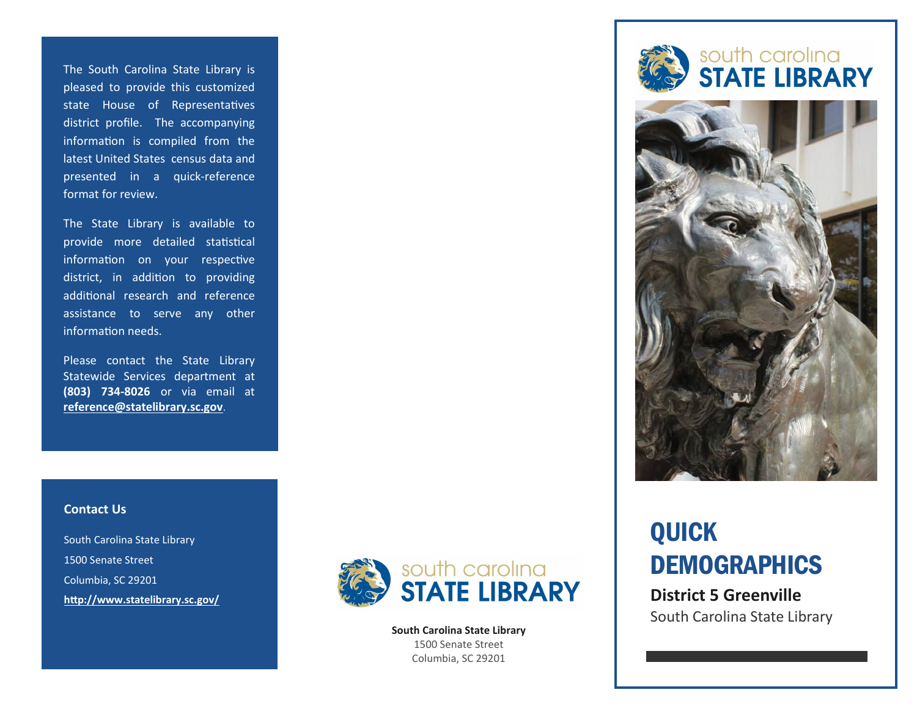The South Carolina State Library is pleased to provide this customized state House of Representatives district profile. The accompanying information is compiled from the latest United States census data and presented in a quick-reference format for review.

The State Library is available to provide more detailed statistical information on your respective district, in addition to providing additional research and reference assistance to serve any other information needs.

Please contact the State Library Statewide Services department at **(803) 734-8026** or via email at **[reference@statelibrary.sc.gov](mailto:reference@statelibrary.sc.gov)**.

### **Contact Us**

South Carolina State Library 1500 Senate Street Columbia, SC 29201 **<http://www.statelibrary.sc.gov/>**



**South Carolina State Library** 1500 Senate Street Columbia, SC 29201





# QUICK **DEMOGRAPHICS**

**District 5 Greenville** South Carolina State Library